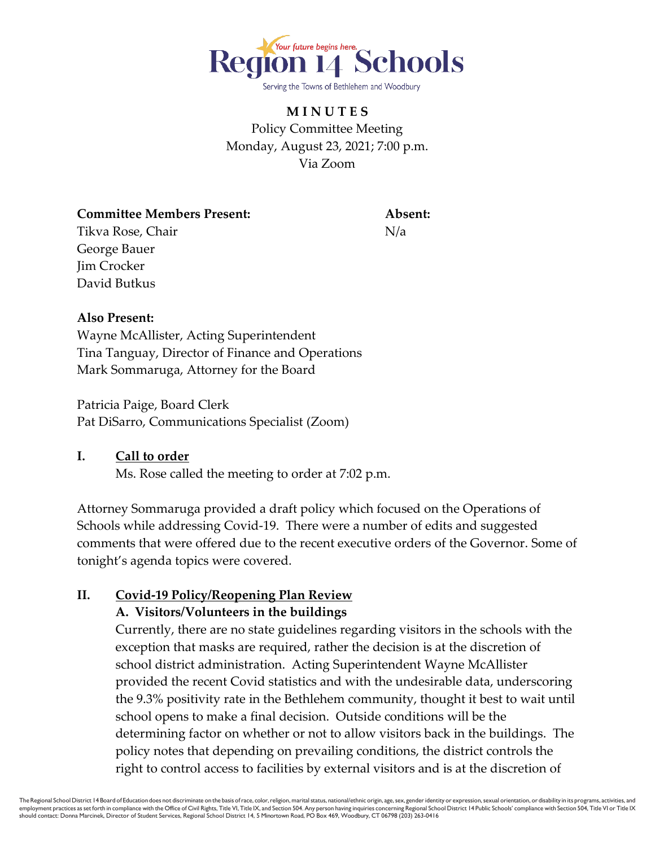

# **M I N U T E S** Policy Committee Meeting Monday, August 23, 2021; 7:00 p.m. Via Zoom

**Committee Members Present: Absent:** Tikva Rose, Chair Nicolas et al. Nicolas Nicolas Nicolas Nicolas Nicolas Nicolas Nicolas Nicolas Nicolas Nicolas Nicolas Nicolas Nicolas Nicolas Nicolas Nicolas Nicolas Nicolas Nicolas Nicolas Nicolas Nicolas Nicolas Nicol George Bauer Jim Crocker David Butkus

### **Also Present:**

Wayne McAllister, Acting Superintendent Tina Tanguay, Director of Finance and Operations Mark Sommaruga, Attorney for the Board

Patricia Paige, Board Clerk Pat DiSarro, Communications Specialist (Zoom)

### **I. Call to order**

Ms. Rose called the meeting to order at 7:02 p.m.

Attorney Sommaruga provided a draft policy which focused on the Operations of Schools while addressing Covid-19. There were a number of edits and suggested comments that were offered due to the recent executive orders of the Governor. Some of tonight's agenda topics were covered.

# **II. Covid-19 Policy/Reopening Plan Review**

### **A. Visitors/Volunteers in the buildings**

Currently, there are no state guidelines regarding visitors in the schools with the exception that masks are required, rather the decision is at the discretion of school district administration. Acting Superintendent Wayne McAllister provided the recent Covid statistics and with the undesirable data, underscoring the 9.3% positivity rate in the Bethlehem community, thought it best to wait until school opens to make a final decision. Outside conditions will be the determining factor on whether or not to allow visitors back in the buildings. The policy notes that depending on prevailing conditions, the district controls the right to control access to facilities by external visitors and is at the discretion of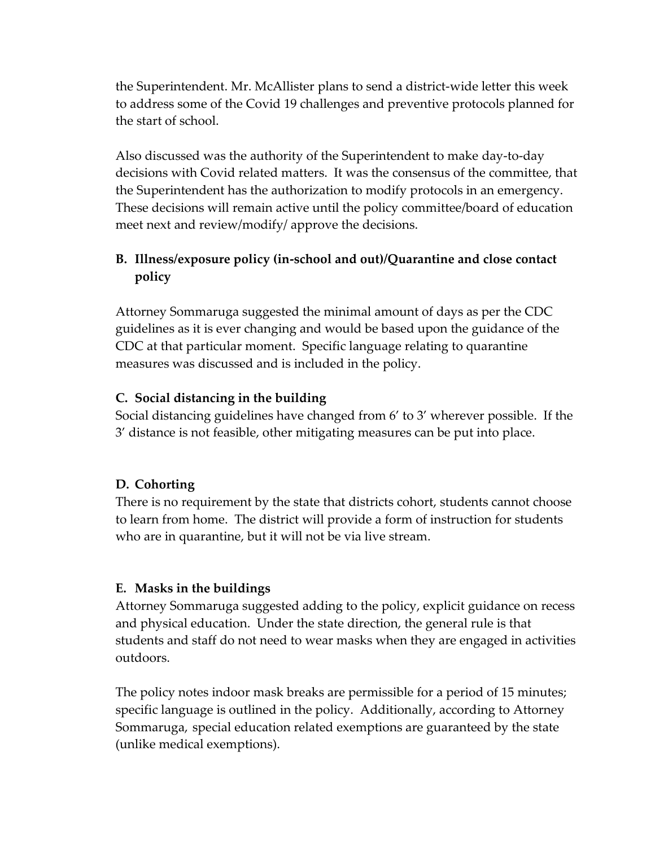the Superintendent. Mr. McAllister plans to send a district-wide letter this week to address some of the Covid 19 challenges and preventive protocols planned for the start of school.

Also discussed was the authority of the Superintendent to make day-to-day decisions with Covid related matters. It was the consensus of the committee, that the Superintendent has the authorization to modify protocols in an emergency. These decisions will remain active until the policy committee/board of education meet next and review/modify/ approve the decisions.

## **B. Illness/exposure policy (in-school and out)/Quarantine and close contact policy**

Attorney Sommaruga suggested the minimal amount of days as per the CDC guidelines as it is ever changing and would be based upon the guidance of the CDC at that particular moment. Specific language relating to quarantine measures was discussed and is included in the policy.

### **C. Social distancing in the building**

Social distancing guidelines have changed from 6' to 3' wherever possible. If the 3' distance is not feasible, other mitigating measures can be put into place.

# **D. Cohorting**

There is no requirement by the state that districts cohort, students cannot choose to learn from home. The district will provide a form of instruction for students who are in quarantine, but it will not be via live stream.

# **E. Masks in the buildings**

Attorney Sommaruga suggested adding to the policy, explicit guidance on recess and physical education. Under the state direction, the general rule is that students and staff do not need to wear masks when they are engaged in activities outdoors.

The policy notes indoor mask breaks are permissible for a period of 15 minutes; specific language is outlined in the policy. Additionally, according to Attorney Sommaruga, special education related exemptions are guaranteed by the state (unlike medical exemptions).